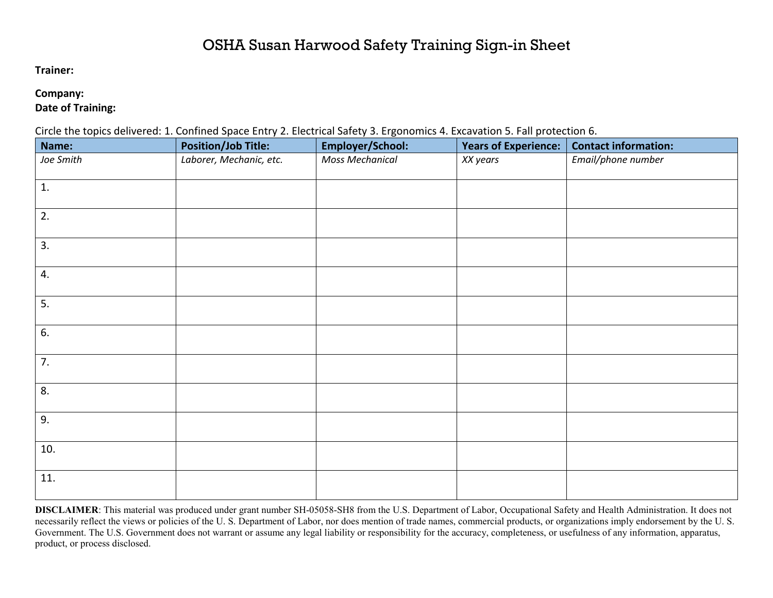## OSHA Susan Harwood Safety Training Sign-in Sheet

**Trainer:**

## **Company:**

**Date of Training:**

Circle the topics delivered: 1. Confined Space Entry 2. Electrical Safety 3. Ergonomics 4. Excavation 5. Fall protection 6.

| Name:     | —— <i>—</i><br><b>Position/Job Title:</b> | Employer/School:       | <b>Years of Experience:</b> | <b>Contact information:</b> |
|-----------|-------------------------------------------|------------------------|-----------------------------|-----------------------------|
| Joe Smith | Laborer, Mechanic, etc.                   | <b>Moss Mechanical</b> | XX years                    | Email/phone number          |
| 1.        |                                           |                        |                             |                             |
| 2.        |                                           |                        |                             |                             |
| 3.        |                                           |                        |                             |                             |
| 4.        |                                           |                        |                             |                             |
| 5.        |                                           |                        |                             |                             |
| 6.        |                                           |                        |                             |                             |
| 7.        |                                           |                        |                             |                             |
| 8.        |                                           |                        |                             |                             |
| 9.        |                                           |                        |                             |                             |
| 10.       |                                           |                        |                             |                             |
| 11.       |                                           |                        |                             |                             |

**DISCLAIMER**: This material was produced under grant number SH-05058-SH8 from the U.S. Department of Labor, Occupational Safety and Health Administration. It does not necessarily reflect the views or policies of the U.S. Department of Labor, nor does mention of trade names, commercial products, or organizations imply endorsement by the U.S. Government. The U.S. Government does not warrant or assume any legal liability or responsibility for the accuracy, completeness, or usefulness of any information, apparatus, product, or process disclosed.